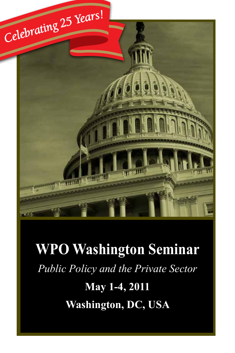

# **WPO Washington Seminar** *Public Policy and the Private Sector* **May 1-4, 2011 Washington, DC, USA**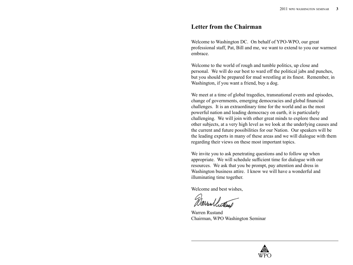#### **Letter from the Chairman**

Welcome to Washington DC. On behalf of YPO-WPO, our great professional staff, Pat, Bill and me, we want to extend to you our warmest embrace.

Welcome to the world of rough and tumble politics, up close and personal. We will do our best to ward off the political jabs and punches, but you should be prepared for mud wrestling at its finest. Remember, in Washington, if you want a friend, buy a dog.

We meet at a time of global tragedies, transnational events and episodes, change of governments, emerging democracies and global financial challenges. It is an extraordinary time for the world and as the most powerful nation and leading democracy on earth, it is particularly challenging. We will join with other great minds to explore these and other subjects, at a very high level as we look at the underlying causes and the current and future possibilities for our Nation. Our speakers will be the leading experts in many of these areas and we will dialogue with them regarding their views on these most important topics.

We invite you to ask penetrating questions and to follow up when appropriate. We will schedule sufficient time for dialogue with our resources. We ask that you be prompt, pay attention and dress in Washington business attire. I know we will have a wonderful and illuminating time together.

Welcome and best wishes,

arrullected

Warren Rustand Chairman, WPO Washington Seminar

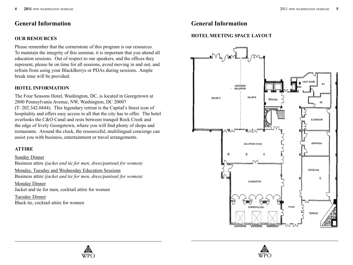## **General Information General Information**

#### **OUR RESOURCES**

Please remember that the cornerstone of this program is our resources. To maintain the integrity of this seminar, it is important that you attend all education sessions. Out of respect to our speakers, and the offices they represent, please be on time for all sessions, avoid moving in and out, and refrain from using your BlackBerrys or PDAs during sessions. Ample break time will be provided.

#### **HOTEL INFORMATION**

The Four Seasons Hotel, Washington, DC, is located in Georgetown at 2800 Pennsylvania Avenue, NW, Washington, DC 20007 (T: 202.342.0444). This legendary retreat is the Capital's finest icon of hospitality and offers easy access to all that the city has to offer. The hotel overlooks the C&O Canal and rests between tranquil Rock Creek and the edge of lively Georgetown, where you will find plenty of shops and restaurants. Around the clock, the resourceful, multilingual concierge can assist you with business, entertainment or travel arrangements.

#### **ATTIRE**

Sunday Dinner Business attire *(jacket and tie for men, dress/pantsuit for women)* Monday, Tuesday and Wednesday Education Sessions Business attire *(jacket and tie for men, dress/pantsuit for women)* Monday Dinner Jacket and tie for men, cocktail attire for women

Tuesday Dinner Black tie, cocktail attire for women

#### **HOTEL MEETING SPACE LAYOUT**





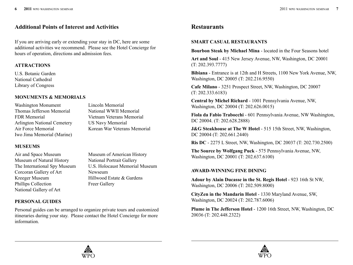### **Additional Points of Interest and Activities**

If you are arriving early or extending your stay in DC, here are some additional activities we recommend. Please see the Hotel Concierge for hours of operation, directions and admission fees.

#### **ATTRACTIONS**

U.S. Botanic Garden National Cathedral Library of Congress

#### **MONUMENTS & MEMORIALS**

Washington Monument Lincoln Memorial Thomas Jefferson Memorial National WWII Memorial FDR Memorial Vietnam Veterans Memorial Arlington National Cemetery US Navy Memorial Air Force Memorial Korean War Veterans Memorial Iwo Jima Memorial (Marine)

**MUSEUMS**

Air and Space Museum Museum of American History Museum of Natural History National Portrait Gallery The International Spy Museum U.S. Holocaust Memorial Museum Corcoran Gallery of Art Newseum Kreeger Museum Hillwood Estate & Gardens Phillips Collection Freer Gallery National Gallery of Art

**PERSONAL GUIDES**

Personal guides can be arranged to organize private tours and customized itineraries during your stay. Please contact the Hotel Concierge for more information.

## **Restaurants**

#### **SMART CASUAL RESTAURANTS**

**Bourbon Steak by Michael Mina** - located in the Four Seasons hotel

**Art and Soul** - 415 New Jersey Avenue, NW, Washington, DC 20001 (T: 202.393.7777)

**Bibiana** - Entrance is at 12th and H Streets, 1100 New York Avenue, NW, Washington, DC 20005 (T: 202.216.9550)

**Cafe Milano** - 3251 Prospect Street, NW, Washington, DC 20007 (T: 202.333.6183)

**Central by Michel Richard** - 1001 Pennsylvania Avenue, NW, Washington, DC 20004 (T: 202.626.0015)

**Fiola da Fabio Trabocchi** - 601 Pennsylvania Avenue, NW Washington, DC 20004. (T: 202.628.2888)

**J&G Steakhouse at The W Hotel - 515 15th Street, NW, Washington,** DC 20004 (T: 202.661.2440)

**Ris DC** - 2275 L Street, NW, Washington, DC 20037 (T: 202.730.2500)

**The Source by Wolfgang Puck** - 575 Pennsylvania Avenue, NW, Washington, DC 20001 (T: 202.637.6100)

#### **AWARD-WINNING FINE DINING**

**Adour by Alain Ducasse in the St. Regis Hotel** - 923 16th St NW, Washington, DC 20006 (T: 202.509.8000)

**CityZen in the Mandarin Hotel** - 1330 Maryland Avenue, SW, Washington, DC 20024 (T: 202.787.6006)

**Plume in The Jefferson Hotel** - 1200 16th Street, NW, Washington, DC 20036 (T: 202.448.2322)



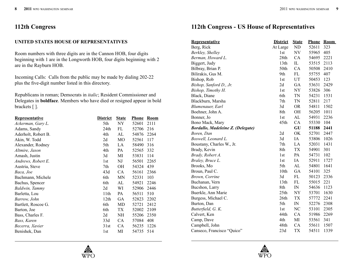## **112th Congress**

#### **UNITED STATES HOUSE OF REPRESENTATIVES**

Room numbers with three digits are in the Cannon HOB, four digits beginning with 1 are in the Longworth HOB, four digits beginning with 2 are in the Rayburn HOB.

Incoming Calls: Calls from the public may be made by dialing 202-22 plus the five-digit number listed in this directory.

Republicans in roman; Democrats in *italic*; Resident Commissioner and Delegates in **boldface**. Members who have died or resigned appear in bold brackets [ ].

| <b>Representative</b> | <b>District</b>  | <b>State</b>   | <b>Phone</b> | <b>Room</b> |
|-----------------------|------------------|----------------|--------------|-------------|
| Ackerman, Gary L.     | 5th              | NY.            | 52601        | 2111        |
| Adams, Sandy          | 24th             | FL             | 52706        | 216         |
| Aderholt, Robert B.   | 4th              | AL             | 54876        | 2264        |
| Akin, W. Todd         | 2d               | M <sub>O</sub> | 52561        | 117         |
| Alexander, Rodney     | 5th              | LA             | 58490        | 316         |
| Altmire, Jason        | 4th              | PA             | 52565        | 332         |
| Amash, Justin         | 3d               | MI             | 53831        | 114         |
| Andrews, Robert E.    | 1 <sub>st</sub>  | NJ             | 56501        | 2265        |
| Austria, Steve        | 7th              | <b>OH</b>      | 54324        | 439         |
| Baca, Joe             | 43d              | CA             | 56161        | 2366        |
| Bachmann, Michele     | 6th              | <b>MN</b>      | 52331        | 103         |
| Bachus, Spencer       | 6th              | AL             | 54921        | 2246        |
| Baldwin, Tammy        | 2d               | WI             | 52906        | 2446        |
| Barletta, Lou         | 11th             | PA             | 56511        | 510         |
| Barrow, John          | 12 <sub>th</sub> | GA             | 52823        | 2202        |
| Bartlett, Roscoe G.   | 6th              | MD             | 52721        | 2412        |
| Barton, Joe           | 6th              | TX             | 52002        | 2109        |
| Bass, Charles F.      | 2d               | <b>NH</b>      | 55206        | 2350        |
| Bass, Karen           | 33d              | CA             | 57084        | 408         |
| Becerra, Xavier       | 31st             | CA             | 56235        | 1226        |
| Benishek, Dan         | 1st              | MI             | 54735        | 514         |

## **112th Congress - US House of Representatives**

| <b>Representative</b>                    | <b>District</b>  | <b>State</b>               | <b>Phone</b> | <b>Room</b> |
|------------------------------------------|------------------|----------------------------|--------------|-------------|
| Berg, Rick                               | At Large         | ND                         | 52611        | 323         |
| Berkley, Shelley                         | 1st              | $\ensuremath{\text{NV}}$   | 55965        | 405         |
| Berman, Howard L.                        | 28th             | CA                         | 54695        | 2221        |
| Biggert, Judy                            | 13 <sup>th</sup> | IL                         | 53515        | 2113        |
| Bilbray, Brian P.                        | 50th             | CA                         | 50508        | 2410        |
| Bilirakis, Gus M.                        | 9th              | FL                         | 55755        | 407         |
| Bishop, Rob                              | 1st              | UT                         | 50453        | 123         |
| Bishop, Sanford D., Jr.                  | 2d               | GA                         | 53631        | 2429        |
| Bishop, Timothy H.                       | 1st              | NY                         | 53826        | 306         |
| Black, Diane                             | 6th              | TN                         | 54231        | 1531        |
| Blackburn, Marsha                        | 7th              | TN                         | 52811        | 217         |
| Blumenauer, Earl                         | 3d               | <b>OR</b>                  | 54811        | 1502        |
| Boehner, John A.                         | 8th              | OH                         | 56205        | 1011        |
| Bonner, Jo                               | 1st              | AL                         | 54931        | 2236        |
| Bono Mack, Mary                          | 45th             | CA                         | 55330        | 104         |
| <b>Bordallo, Madeleine Z. (Delegate)</b> |                  | GU                         | 51188        | 2441        |
| Boren, Dan                               | 2d               | OK                         | 52701        | 2447        |
| Boswell, Leonard L.                      | 3d               | IA                         | 53806        | 1026        |
| Boustany, Charles W., Jr.                | 7th              | LA                         | 52031        | 1431        |
| Brady, Kevin                             | 8th              | <b>TX</b>                  | 54901        | 301         |
| Brady, Robert A.                         | 1st              | PA                         | 54731        | 102         |
| Braley, Bruce L.                         | 1st              | IA                         | 52911        | 1727        |
| Brooks, Mo                               | 5th              | AL                         | 54801        | 1641        |
| Broun, Paul C.                           | 10th             | GA                         | 54101        | 325         |
| Brown, Corrine                           | 3d               | FL                         | 50123        | 2336        |
| Buchanan, Vern                           | 13th             | FL                         | 55015        | 221         |
| Bucshon, Larry                           | 8th              | $\ensuremath{\mathit{IN}}$ | 54636        | 1123        |
| Buerkle, Ann Marie                       | 25 <sub>th</sub> | <b>NY</b>                  | 53701        | 1630        |
| Burgess, Michael C.                      | 26th             | TX                         | 57772        | 2241        |
| Burton, Dan                              | 5th              | IN                         | 52276        | 2308        |
| Butterfield, G. K.                       | 1st              | NC                         | 53101        | 2305        |
| Calvert, Ken                             | 44th             | CA                         | 51986        | 2269        |
| Camp, Dave                               | 4th              | MI                         | 53561        | 341         |
| Campbell, John                           | 48th             | CA                         | 55611        | 1507        |
| Canseco, Francisco "Quico"               | 23d              | <b>TX</b>                  | 54511        | 1339        |



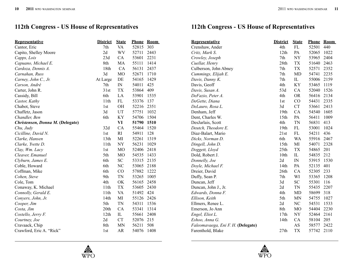| <b>Representative</b>            | <b>District</b>  | <b>State</b>             | <b>Phone</b> | <b>Room</b> |
|----------------------------------|------------------|--------------------------|--------------|-------------|
| Cantor, Eric                     | 7th              | <b>VA</b>                | 52815        | 303         |
| Capito, Shelley Moore            | 2d               | <b>WV</b>                | 52711        | 2443        |
| Capps, Lois                      | 23d              | CA                       | 53601        | 2231        |
| Capuano, Michael E.              | 8th              | MA                       | 55111        | 1414        |
| Cardoza, Dennis A.               | 18th             | CA                       | 56131        | 2437        |
| Carnahan, Russ                   | 3d               | M <sub>O</sub>           | 52671        | 1710        |
| Carney, John C., Jr.             | At Large         | DE                       | 54165        | 1429        |
| Carson, André                    | 7th              | $\ensuremath{\text{IN}}$ | 54011        | 425         |
| Carter, John R.                  | 31st             | <b>TX</b>                | 53864        | 409         |
| Cassidy, Bill                    | 6th              | LA                       | 53901        | 1535        |
| Castor, Kathy                    | 11th             | FL                       | 53376        | 137         |
| Chabot, Steve                    | 1st              | OH                       | 52216        | 2351        |
| Chaffetz, Jason                  | 3d               | UT                       | 57751        | 1032        |
| Chandler, Ben                    | 6th              | KY                       | 54706        | 1504        |
| Christensen, Donna M. (Delegate) |                  | VI                       | 51790        | 1510        |
| Chu, Judy                        | 32d              | CA                       | 55464        | 1520        |
| Cicilline, David N.              | 1st              | RI                       | 54911        | 128         |
| Clarke, Hansen                   | 13th             | MI                       | 52261        | 1319        |
| Clarke, Yvette D.                | 11 <sup>th</sup> | <b>NY</b>                | 56231        | 1029        |
| Clay, Wm. Lacy                   | 1st              | M <sub>O</sub>           | 52406        | 2418        |
| Cleaver, Emanuel                 | 5th              | M <sub>O</sub>           | 54535        | 1433        |
| Clyburn, James E.                | 6th              | <b>SC</b>                | 53315        | 2135        |
| Coble, Howard                    | 6th              | NC                       | 53065        | 2188        |
| Coffman, Mike                    | 6th              | CO                       | 57882        | 1222        |
| Cohen, Steve                     | 9th              | TN                       | 53265        | 1005        |
| Cole, Tom                        | 4th              | OK                       | 56165        | 2458        |
| Conaway, K. Michael              | 11th             | <b>TX</b>                | 53605        | 2430        |
| Connolly, Gerald E.              | 11th             | <b>VA</b>                | 51492        | 424         |
| Conyers, John, Jr.               | 14th             | MI                       | 55126        | 2426        |
| Cooper, Jim                      | 5th              | TN                       | 54311        | 1536        |
| Costa, Jim                       | 20th             | CA                       | 53341        | 1314        |
| Costello, Jerry F.               | 12th             | IL                       | 55661        | 2408        |
| Courtney, Joe                    | 2d               | CT                       | 52076        | 215         |
| Cravaack, Chip                   | 8th              | <b>MN</b>                | 56211        | 508         |
| Crawford, Eric A. "Rick"         | 1st              | AR                       | 54076        | 1408        |

| <b>Representative</b>              | <b>District</b>  | <b>State</b>   | <b>Phone</b> | <b>Room</b> |
|------------------------------------|------------------|----------------|--------------|-------------|
| Crenshaw, Ander                    | 4th              | <b>FL</b>      | 52501        | 440         |
| Critz, Mark S.                     | 12th             | PA             | 52065        | 1022        |
| Crowley, Joseph                    | 7th              | <b>NY</b>      | 53965        | 2404        |
| Cuellar, Henry                     | 28th             | <b>TX</b>      | 51640        | 2463        |
| Culberson, John Abney              | 7th              | <b>TX</b>      | 52571        | 2352        |
| Cummings, Elijah E.                | 7th              | <b>MD</b>      | 54741        | 2235        |
| Davis, Danny K.                    | 7th              | $_{\rm IL}$    | 55006        | 2159        |
| Davis, Geoff                       | 4th              | KY             | 53465        | 1119        |
| Davis, Susan A.                    | 53d              | CA             | 52040        | 1526        |
| DeFazio, Peter A.                  | 4th              | <b>OR</b>      | 56416        | 2134        |
| DeGette, Diana                     | 1st              | CO             | 54431        | 2335        |
| DeLauro, Rosa L.                   | 3d               | <b>CT</b>      | 53661        | 2413        |
| Denham, Jeff                       | 19th             | CA             | 54540        | 1605        |
| Dent, Charles W.                   | 15th             | PA             | 56411        | 1009        |
| DesJarlais, Scott                  | 4th              | TN             | 56831        | 413         |
| Deutch, Theodore E.                | 19th             | FL             | 53001        | 1024        |
| Diaz-Balart, Mario                 | 21st             | FL             | 54211        | 436         |
| Dicks, Norman D.                   | 6th              | WA             | 55916        | 2467        |
| Dingell, John D.                   | 15 <sub>th</sub> | MI             | 54071        | 2328        |
| Doggett, Lloyd                     | 25th             | <b>TX</b>      | 54865        | 201         |
| Dold, Robert J.                    | 10th             | IL             | 54835        | 212         |
| Donnelly, Joe                      | 2d               | $\hbox{IN}$    | 53915        | 1530        |
| Doyle, Michael F.                  | 14th             | PA             | 52135        | 401         |
| Dreier, David                      | 26th             | CA             | 52305        | 233         |
| Duffy, Sean P.                     | 7th              | WI             | 53365        | 1208        |
| Duncan, Jeff                       | 3d               | <b>SC</b>      | 55301        | 116         |
| Duncan, John J., Jr.               | 2d               | TN             | 55435        | 2207        |
| Edwards, Donna F.                  | 4th              | <b>MD</b>      | 58699        | 318         |
| Ellison, Keith                     | 5th              | <b>MN</b>      | 54755        | 1027        |
| Ellmers, Renee L.                  | 2d               | NC             | 54531        | 1533        |
| Emerson, Jo Ann                    | 8th              | M <sub>O</sub> | 54404        | 2230        |
| Engel, Eliot L.                    | 17th             | <b>NY</b>      | 52464        | 2161        |
| Eshoo, Anna G.                     | 14th             | CA             | 58104        | 205         |
| Faleomavaega, Eni F. H. (Delegate) |                  | AS             | 58577        | 2422        |
| Farenthold, Blake                  | 27th             | <b>TX</b>      | 57742        | 2110        |



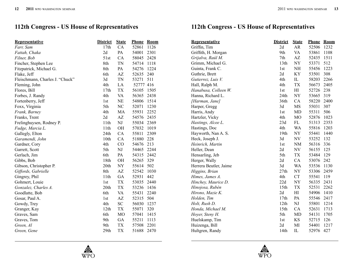| <b>Representative</b>           | <b>District</b>  | <b>State</b> | <b>Phone</b> | <b>Room</b> |
|---------------------------------|------------------|--------------|--------------|-------------|
| Farr, Sam                       | 17th             | CA           | 52861        | 1126        |
| Fattah, Chaka                   | 2d               | PA           | 54001        | 2301        |
| Filner, Bob                     | 51st             | CA           | 58045        | 2428        |
| Fincher, Stephen Lee            | 8th              | TN           | 54714        | 1118        |
| Fitzpatrick, Michael G.         | 8th              | PA           | 54276        | 1224        |
| Flake, Jeff                     | 6th              | AZ           | 52635        | 240         |
| Fleischmann, Charles J. "Chuck" | 3d               | <b>TN</b>    | 53271        | 511         |
| Fleming, John                   | 4th              | LA           | 52777 416    |             |
| Flores, Bill                    | 17th             | <b>TX</b>    | 56105        | 1505        |
| Forbes, J. Randy                | 4th              | <b>VA</b>    | 56365        | 2438        |
| Fortenberry, Jeff               | 1st              | NE           | 54806        | 1514        |
| Foxx, Virginia                  | 5th              | NC           | 52071        | 1230        |
| Frank, Barney                   | 4th              | MA           | 55931        | 2252        |
| Franks, Trent                   | 2d               | AZ           | 54576        | 2435        |
| Frelinghuysen, Rodney P.        | 11 <sup>th</sup> | NJ           | 55034        | 2369        |
| Fudge, Marcia L.                | 11th             | OH           | 57032        | 1019        |
| Gallegly, Elton                 | 24th             | CA           | 55811        | 2309        |
| Garamendi, John                 | 10th             | CA           | 51880        | 228         |
| Gardner, Cory                   | 4th              | CO           | 54676        | 213         |
| Garrett, Scott                  | 5th              | NJ           | 54465        | 2244        |
| Gerlach, Jim                    | 6th              | PA           | 54315        | 2442        |
| Gibbs, Bob                      | 18th             | OH           | 56265        | 329         |
| Gibson, Christopher P.          | 20th             | NY           | 55614        | 502         |
| Giffords, Gabrielle             | 8th              | AZ           | 52542        | 1030        |
| Gingrey, Phil                   | 11th             | GA           | 52931        | 442         |
| Gohmert, Louie                  | 1 <sub>st</sub>  | TX           | 53035        | 2440        |
| Gonzalez, Charles A.            | 20th             | TX           | 53236        | 1436        |
| Goodlatte, Bob                  | 6th              | <b>VA</b>    | 55431        | 2240        |
| Gosar, Paul A.                  | 1st              | AZ           | 52315        | 504         |
| Gowdy, Trey                     | 4th              | <b>SC</b>    | 56030        | 1237        |
| Granger, Kay                    | 12 <sup>th</sup> | TX           | 55071        | 320         |
| Graves, Sam                     | 6th              | MO           | 57041        | 1415        |
| Graves, Tom                     | 9th              | GA           | 55211        | 1113        |
| Green, Al                       | 9th              | TX           | 57508        | 2201        |
| Green, Gene                     | 29th             | <b>TX</b>    | 51688        | 2470        |

| <b>Representative</b>  | <b>District</b>  | <b>State</b>   | <b>Phone</b> | <b>Room</b> |
|------------------------|------------------|----------------|--------------|-------------|
| Griffin, Tim           | 2d               | AR             | 52506        | 1232        |
| Griffith, H. Morgan    | 9th              | VA             | 53861        | 1108        |
| Grijalva, Raúl M.      | 7th              | AZ             | 52435        | 1511        |
| Grimm, Michael G.      | 13th             | <b>NY</b>      | 53371        | 512         |
| Guinta, Frank C.       | 1st              | <b>NH</b>      | 55456        | 1223        |
| Guthrie, Brett         | 2d               | <b>KY</b>      | 53501        | 308         |
| Gutierrez, Luis V.     | 4th              | IL             | 58203        | 2266        |
| Hall, Ralph M.         | 4th              | TX             | 56673        | 2405        |
| Hanabusa, Colleen W.   | 1st              | H              | 52726        | 238         |
| Hanna, Richard L.      | 24th             | NY             | 53665        | 319         |
| [Harman, Jane]         | 36th             | CA             | 58220        | 2400        |
| Harper, Gregg          | 3d               | MS             | 55031        | 307         |
| Harris, Andy           | 1st              | <b>MD</b>      | 55311        | 506         |
| Hartzler, Vicky        | 4th              | M <sub>O</sub> | 52876        | 1023        |
| Hastings, Alcee L.     | 23d              | FL             | 51313        | 2353        |
| Hastings, Doc          | 4th              | WA             | 55816        | 1203        |
| Hayworth, Nan A. S.    | 19th             | NY             | 55441        | 1440        |
| Heck, Joseph J.        | 3d               | NV             | 53252        | 132         |
| Heinrich, Martin       | 1st              | <b>NM</b>      | 56316        | 336         |
| Heller, Dean           | 2d               | NV             | 56155        | 125         |
| Hensarling, Jeb        | 5th              | TX             | 53484        | 129         |
| Herger, Wally          | 2d               | CA             | 53076        | 242         |
| Herrera Beutler, Jaime | 3d               | <b>WA</b>      | 53536        | 1130        |
| Higgins, Brian         | 27th             | NY             | 53306        | 2459        |
| Himes, James A.        | 4th              | CT             | 55541        | 119         |
| Hinchey, Maurice D.    | 22d              | NY             | 56335        | 2431        |
| Hinojosa, Rubén        | 15th             | <b>TX</b>      | 52531        | 2262        |
| Hirono, Mazie K.       | 2d               | HI             | 54906        | 1410        |
| Holden, Tim            | 17th             | PA             | 55546        | 2417        |
| Holt, Rush D.          | 12th             | NJ             | 55801        | 1214        |
| Honda, Michael M.      | 15 <sub>th</sub> | CA             | 52631        | 1713        |
| Hoyer, Steny H.        | 5th              | MD             | 54131        | 1705        |
| Huelskamp, Tim         | 1st              | KS             | 52715        | 126         |
| Huizenga, Bill         | 2d               | MI             | 54401        | 1217        |
| Hultgren, Randy        | 14th             | IL             | 52976        | 427         |



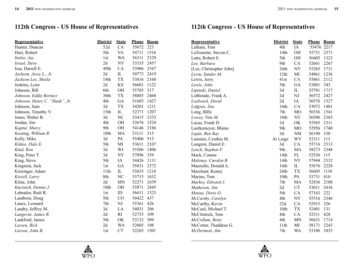| <b>Representative</b>         | <b>District</b> | <b>State</b> | <u>Phone</u> | <b>Room</b> |
|-------------------------------|-----------------|--------------|--------------|-------------|
| Hunter, Duncan                | 52d             | CA           | 55672        | 223         |
| Hurt, Robert                  | 5th             | VA           | 54711        | 1516        |
| Inslee, Jay                   | 1st             | <b>WA</b>    | 56311        | 2329        |
| Israel, Steve                 | 2d              | <b>NY</b>    | 53335        | 2457        |
| Issa, Darrell E.              | 49th            | CA           | 53906        | 2347        |
| Jackson, Jesse L., Jr.        | 2d              | IL           | 50773        | 2419        |
| Jackson Lee, Sheila           | 18th            | TX           | 53816        | 2160        |
| Jenkins, Lynn                 | 2d              | KS           | 56601        | 1122        |
| Johnson, Bill                 | 6th             | <b>OH</b>    | 55705        | 317         |
| Johnson, Eddie Bernice        | 30th            | TX           | 58885        | 2468        |
| Johnson, Henry C. "Hank", Jr. | 4th             | GA           | 51605        | 1427        |
| Johnson, Sam                  | 3d              | TX           | 54201        | 1211        |
| Johnson, Timothy V.           | 15th            | ${\rm IL}$   | 52371        | 1207        |
| Jones, Walter B.              | 3d              | NC           | 53415        | 2333        |
| Jordan, Jim                   | 4th             | OH           | 52676        | 1524        |
| Kaptur, Marcy                 | 9th             | OH           | 54146        | 2186        |
| Keating, William R.           | 10th            | <b>MA</b>    | 53111        | 315         |
| Kelly, Mike                   | 3d              | PA           | 55406        | 515         |
| Kildee, Dale E.               | 5th             | MI           | 53611        | 2107        |
| Kind, Ron                     | 3d              | WI           | 55506        | 1406        |
| King, Peter T.                | 3d              | NY           | 57896        | 339         |
| King, Steve                   | 5th             | IA           | 54426        | 1131        |
| Kingston, Jack                | 1st             | GA           | 55831        | 2372        |
| Kinzinger, Adam               | 11th            | IL           | 53635        | 1218        |
| Kissell, Larry                | 8th             | NC           | 53715        | 1632        |
| Kline, John                   | 2d              | <b>MN</b>    | 52271        | 2439        |
| Kucinich, Dennis J.           | 10th            | <b>OH</b>    | 55871        | 2445        |
| Labrador, Raúl R.             | 1st             | ID           | 56611        | 1523        |
| Lamborn, Doug                 | 5th             | CO           | 54422        | 437         |
| Lance, Leonard                | 7th             | NJ           | 55361        | 426         |
| Landry, Jeffrey M.            | 3d              | LA           | 54031        | 206         |
| Langevin, James R.            | 2d              | RI           | 52735        | 109         |
| Lankford, James               | 5th             | OK           | 52132        | 509         |
| Larsen, Rick                  | 2d              | <b>WA</b>    | 52605        | 108         |
| Larson, John B.               | 1st             | <b>CT</b>    | 52265        | 1501        |

| <u>Representative</u>   | <b>District</b> | <b>State</b>   | <b>Phone</b> | <b>Room</b> |
|-------------------------|-----------------|----------------|--------------|-------------|
| Latham, Tom             | 4th             | IA             | 55476        | 2217        |
| LaTourette, Steven C.   | 14th            | <b>OH</b>      | 55731        | 2371        |
| Latta, Robert E.        | 5th             | <b>OH</b>      | 56405        | 1323        |
| Lee, Barbara            | 9th             | CA             | 52661        | 2267        |
| [Lee, Christopher John] | 26th            | <b>NY</b>      | 55265        | 1711        |
| Levin, Sander M.        | 12th            | MI             | 54961        | 1236        |
| Lewis, Jerry            | 41st            | CA             | 55861        | 2112        |
| Lewis, John             | 5th             | GA             | 53801        | 343         |
| Lipinski, Daniel        | 3d              | IL             | 55701        | 1717        |
| LoBiondo, Frank A.      | 2d              | NJ             | 56572        | 2427        |
| Loebsack, David         | 2d              | IA             | 56576        | 1527        |
| Lofgren, Zoe            | 16th            | CA             | 53072        | 1401        |
| Long, Billy             | 7th             | M <sub>O</sub> | 56536        | 1541        |
| Lowey, Nita M.          | 18th            | NY             | 56506        | 2365        |
| Lucas, Frank D.         | 3d              | OK             | 55565        | 2311        |
| Luetkemeyer, Blaine     | 9th             | MO             | 52956        | 1740        |
| Luján, Ben Ray          | 3d              | NM             | 56190        | 330         |
| Lummis, Cynthia M.      | At Large        | <b>WY</b>      | 52311        | 113         |
| Lungren, Daniel E.      | 3d              | CA             | 55716        | 2313        |
| Lynch, Stephen F.       | 9th             | MA             | 58273        | 2348        |
| Mack, Connie            | 14th            | $\mathbf{FL}$  | 52536        | 115         |
| Maloney, Carolyn B.     | 14th            | <b>NY</b>      | 57944        | 2332        |
| Manzullo, Donald A.     | 16th            | ${\rm IL}$     | 55676        | 2228        |
| Marchant, Kenny         | 24th            | <b>TX</b>      | 56605        | 1110        |
| Marino, Tom             | 10th            | PA             | 53731        | 410         |
| Markey, Edward J.       | 7th             | MA             | 52836        | 2108        |
| Matheson, Jim           | 2d              | <b>UT</b>      | 53011        | 2434        |
| Matsui, Doris O.        | 5th             | CA             | 57163        | 222         |
| McCarthy, Carolyn       | 4th             | <b>NY</b>      | 55516        | 2346        |
| McCarthy, Kevin         | 22d             | CA             | 52915        | 326         |
| McCaul, Michael T.      | 10th            | TX             | 52401        | 131         |
| McClintock, Tom         | 4th             | CA             | 52511        | 428         |
| McCollum, Betty         | 4th             | <b>MN</b>      | 56631        | 1714        |
| McCotter, Thaddeus G.   | 11th            | MI             | 58171        | 2243        |
| McDermott, Jim          | 7th             | WA             | 53106        | 1035        |

**WPO** 

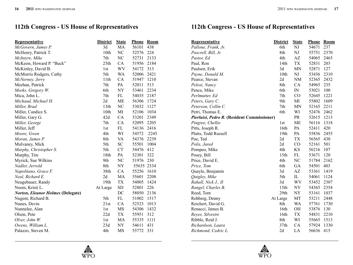| <b>Representative</b>                    | <b>District</b>  | <b>State</b> | <b>Phone</b> | <b>Room</b> |
|------------------------------------------|------------------|--------------|--------------|-------------|
| McGovern, James P.                       | 3d               | MA           | 56101        | 438         |
| McHenry, Patrick T.                      | 10 <sub>th</sub> | NC           | 52576        | 224         |
| McIntyre, Mike                           | 7th              | NC           | 52731        | 2133        |
| McKeon, Howard P. "Buck"                 | 25th             | CA           | 51956        | 2184        |
| McKinley, David B.                       | 1st              | <b>WV</b>    | 54172        | 313         |
| McMorris Rodgers, Cathy                  | 5th              | WA           | 52006        | 2421        |
| McNerney, Jerry                          | 11 <sup>th</sup> | CA           | 51947        | 1210        |
| Meehan, Patrick                          | 7th              | PA           | 52011        | 513         |
| Meeks, Gregory W.                        | 6th              | NY           | 53461        | 2234        |
| Mica, John L.                            | 7th              | FL           | 54035        | 2187        |
| Michaud, Michael H.                      | 2d               | <b>ME</b>    | 56306        | 1724        |
| Miller, Brad                             | 13th             | NC           | 53032        | 1127        |
| Miller, Candice S.                       | 10th             | MI           | 52106        | 1034        |
| Miller, Gary G.                          | 42d              | CA           | 53201        | 2349        |
| Miller, George                           | 7th              | CA           | 52095        | 2205        |
| Miller, Jeff                             | 1st              | FL           | 54136        | 2416        |
| Moore, Gwen                              | 4th              | WI           | 54572        | 2245        |
| Moran, James P.                          | 8th              | <b>VA</b>    | 54376        | 2239        |
| Mulvaney, Mick                           | 5th              | SC           | 55501        | 1004        |
| Murphy, Christopher S.                   | 5th              | CT           | 54476        | 412         |
| Murphy, Tim                              | 18th             | PA           | 52301        | 322         |
| Myrick, Sue Wilkins                      | 9th              | NC           | 51976        | 230         |
| Nadler, Jerrold                          | 8th              | ${\rm NY}$   | 55635 2334   |             |
| Napolitano, Grace F.                     | 38th             | CA           | 55256        | 1610        |
| Neal, Richard E.                         | 2d               | MA           | 55601        | 2208        |
| Neugebauer, Randy                        | 19th             | <b>TX</b>    | 54005        | 1424        |
| Noem, Kristi L.                          | At Large         | SD           | 52801        | 226         |
| <b>Norton, Eleanor Holmes (Delegate)</b> |                  | DC           | 58050        | 2136        |
| Nugent, Richard B.                       | 5th              | FL           | 51002        | 1517        |
| Nunes, Devin                             | 21st             | CA           | 52523        | 1013        |
| Nunnelee, Alan                           | 1st              | MS           | 54306        | 1432        |
| Olson, Pete                              | 22d              | TX           | 55951        | 312         |
| Olver, John W.                           | 1st              | MA           | 55335        | 1111        |
| Owens, William L.                        | 23d              | NY           | 54611        | 431         |
| Palazzo, Steven M.                       | 4th              | MS           | 55772        | 331         |

| <b>Representative</b>                       | <b>District</b>  | <b>State</b> | Phone | <b>Room</b> |
|---------------------------------------------|------------------|--------------|-------|-------------|
| Pallone, Frank, Jr.                         | 6th              | NJ           | 54671 | 237         |
| Pascrell, Bill, Jr.                         | 8th              | NJ           | 55751 | 2370        |
| Pastor, Ed                                  | 4th              | AZ           | 54065 | 2465        |
| Paul, Ron                                   | 14th             | <b>TX</b>    | 52831 | 203         |
| Paulsen, Erik                               | 3d               | <b>MN</b>    | 52871 | 127         |
| Payne, Donald M.                            | 10 <sub>th</sub> | NJ           | 53436 | 2310        |
| Pearce, Stevan                              | 2d               | <b>NM</b>    | 52365 | 2432        |
| Pelosi, Nancy                               | 8th              | CA           | 54965 | 235         |
| Pence, Mike                                 | 6th              | $\mathbb{N}$ | 53021 | 100         |
| Perlmutter, Ed                              | 7th              | CO           | 52645 | 1221        |
| Peters, Gary C.                             | 9th              | MI           | 55802 | 1609        |
| Peterson, Collin C.                         | 7th              | <b>MN</b>    | 52165 | 2211        |
| Petri, Thomas E.                            | 6th              | WI           | 52476 | 2462        |
| Pierluisi, Pedro R. (Resident Commissioner) |                  | PR           | 52615 | 1213        |
| Pingree, Chellie                            | 1st              | <b>ME</b>    | 56116 | 1318        |
| Pitts, Joseph R.                            | 16th             | PA           | 52411 | 420         |
| Platts, Todd Russell                        | 19th             | PA           | 55836 | 2455        |
| Poe, Ted                                    | 2d               | <b>TX</b>    | 56565 | 430         |
| Polis, Jared                                | 2d               | CO           | 52161 | 501         |
| Pompeo, Mike                                | 4th              | <b>KS</b>    | 56216 | 107         |
| Posey, Bill                                 | 15th             | FL           | 53671 | 120         |
| Price, David E.                             | 4th              | NC           | 51784 | 2162        |
| Price, Tom                                  | 6th              | GA           | 54501 | 403         |
| Quayle, Benjamin                            | 3d               | AZ           | 53361 | 1419        |
| Quigley, Mike                               | 5th              | IL           | 54061 | 1124        |
| Rahall, Nick J., II                         | 3d               | <b>WV</b>    | 53452 | 2307        |
| Rangel, Charles B.                          | 15th             | NY           | 54365 | 2354        |
| Reed, Tom                                   | 29th             | NY           | 53161 | 1037        |
| Rehberg, Denny                              | At Large         | MT           | 53211 | 2448        |
| Reichert, David G.                          | 8th              | <b>WA</b>    | 57761 | 1730        |
| Renacci, James B.                           | 16th             | OH           | 53876 | 130         |
| Reyes, Silvestre                            | 16th             | <b>TX</b>    | 54831 | 2210        |
| Ribble, Reid J.                             | 8th              | WI           | 55665 | 1513        |
| Richardson, Laura                           | 37th             | CA           | 57924 | 1330        |
| Richmond, Cedric L.                         | 2d               | LA           | 56636 | 415         |



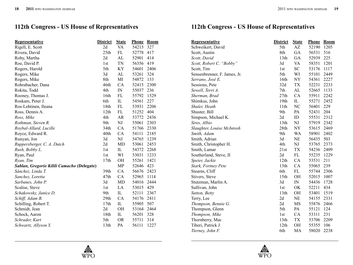| <b>Representative</b>                      | <b>District</b> | <b>State</b>             | <b>Phone</b> | <b>Room</b> |
|--------------------------------------------|-----------------|--------------------------|--------------|-------------|
| Rigell, E. Scott                           | 2d              | VA                       | 54215        | 327         |
| Rivera, David                              | 25th            | FL                       | 52778        | 417         |
| Roby, Martha                               | 2d              | AL                       | 52901        | 414         |
| Roe, David P.                              | 1st             | TN                       | 56356        | 419         |
| Rogers, Harold                             | 5th             | KY                       | 54601        | 2406        |
| Rogers, Mike                               | 3d              | AL                       | 53261        | 324         |
| Rogers, Mike                               | 8th             | MI                       | 54872        | 133         |
| Rohrabacher, Dana                          | 46th            | CA                       | 52415        | 2300        |
| Rokita, Todd                               | 4th             | $\ensuremath{\text{IN}}$ | 55037        | 236         |
| Rooney, Thomas J.                          | 16th            | FL                       | 55792        | 1529        |
| Roskam, Peter J.                           | 6th             | IL                       | 54561        | 227         |
| Ros-Lehtinen, Ileana                       | 18th            | FL                       | 53931        | 2206        |
| Ross, Dennis A.                            | 12th            | FL                       | 51252        | 404         |
| Ross, Mike                                 | 4th             | AR                       | 53772        | 2436        |
| Rothman, Steven R.                         | 9th             | NJ                       | 55061        | 2303        |
| Roybal-Allard, Lucille                     | 34th            | CA                       | 51766        | 2330        |
| Royce, Edward R.                           | 40th            | CA                       | 54111        | 2185        |
| Runyan, Jon                                | 3d              | NJ                       | 54765        | 1239        |
| Ruppersberger, C. A. Dutch                 | 2d              | MD                       | 53061        | 2453        |
| Rush, Bobby L.                             | 1st             | IL                       | 54372        | 2268        |
| Ryan, Paul                                 | 1st             | WI                       | 53031        | 1233        |
| Ryan, Tim                                  | 17th            | OH                       | 55261        | 1421        |
| Sablan, Gregorio Kilili Camacho (Delegate) |                 | <b>MP</b>                | 52646        | 423         |
| Sánchez, Linda T.                          | 39th            | CA                       | 56676        | 2423        |
| Sanchez, Loretta                           | 47th            | CA                       | 52965        | 1114        |
| Sarbanes, John P.                          | 3d              | <b>MD</b>                | 54016        | 2444        |
| Scalise, Steve                             | 1 <sub>st</sub> | LA                       | 53015        | 429         |
| Schakowsky, Janice D.                      | 9th             | IL                       | 52111        | 2367        |
| Schiff, Adam B.                            | 29th            | CA                       | 54176        | 2411        |
| Schilling, Robert T.                       | 17th            | IL                       | 55905        | 507         |
| Schmidt, Jean                              | 2d              | <b>OH</b>                | 53164        | 2464        |
| Schock, Aaron                              | 18th            | IL                       | 56201        | 328         |
| Schrader, Kurt                             | 5th             | <b>OR</b>                | 55711        | 314         |
| Schwartz, Allyson Y.                       | 13th            | PA                       | 56111        | 1227        |

| <b>Representative</b>        | <b>District</b>  | <b>State</b>             | <b>Phone</b> | <b>Room</b> |
|------------------------------|------------------|--------------------------|--------------|-------------|
| Schweikert, David            | 5th              | AZ                       | 52190        | 1205        |
| Scott, Austin                | 8th              | GA                       | 56531        | 516         |
| Scott, David                 | 13th             | GA                       | 52939        | 225         |
| Scott, Robert C. "Bobby"     | 3d               | <b>VA</b>                | 58351        | 1201        |
| Scott, Tim                   | 1st              | <b>SC</b>                | 53176        | 1117        |
| Sensenbrenner, F. James, Jr. | 5th              | WI                       | 55101        | 2449        |
| Serrano, José E.             | 16th             | NY                       | 54361        | 2227        |
| Sessions, Pete               | 32d              | <b>TX</b>                | 52231        | 2233        |
| Sewell, Terri A.             | 7th              | AL                       | 52665        | 1133        |
| Sherman, Brad                | 27th             | CA                       | 55911        | 2242        |
| Shimkus, John                | 19th             | $_{\rm IL}$              | 55271        | 2452        |
| Shuler, Heath                | 11th             | NC                       | 56401        | 229         |
| Shuster, Bill                | 9th              | PA                       | 52431        | 204         |
| Simpson, Michael K.          | 2d               | ID                       | 55531        | 2312        |
| Sires, Albio                 | 13 <sub>th</sub> | NJ                       | 57919        | 2342        |
| Slaughter, Louise McIntosh   | 28th             | $\ensuremath{\text{NY}}$ | 53615        | 2469        |
| Smith, Adam                  | 9th              | <b>WA</b>                | 58901        | 2402        |
| Smith, Adrian                | 3d               | NE                       | 56435        | 503         |
| Smith, Christopher H.        | 4th              | NJ                       | 53765        | 2373        |
| Smith, Lamar                 | 21st             | TX                       | 54236        | 2409        |
| Southerland, Steve, II       | 2d               | FL                       | 55235        | 1229        |
| Speier, Jackie               | 12th             | CA                       | 53531        | 211         |
| Stark, Fortney Pete          | 13th             | CA                       | 55065        | 239         |
| Stearns, Cliff               | 6th              | FL                       | 55744        | 2306        |
| Stivers, Steve               | 15th             | <b>OH</b>                | 52015        | 1007        |
| Stutzman, Marlin A.          | 3d               | IN                       | 54436        | 1728        |
| Sullivan, John               | 1st              | OK                       | 52211        | 434         |
| Sutton, Betty                | 13 <sub>th</sub> | <b>OH</b>                | 53401        | 1519        |
| Terry, Lee                   | 2d               | <b>NE</b>                | 54155        | 2331        |
| Thompson, Bennie G.          | 2d               | <b>MS</b>                | 55876        | 2466        |
| Thompson, Glenn              | 5th              | PA                       | 55121        | 124         |
| Thompson, Mike               | 1st              | CA                       | 53311        | 231         |
| Thornberry, Mac              | 13th             | TX                       | 53706        | 2209        |
| Tiberi, Patrick J.           | 12th             | OH                       | 55355        | 106         |
| Tierney, John F.             | 6th              | MA                       | 58020        | 2238        |

WPO

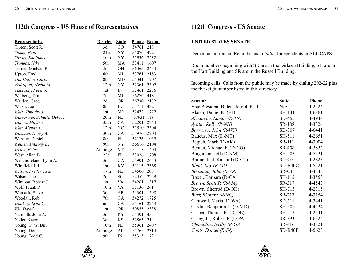## **112th Congress - US House of Representatives 112th Congress - US Senate**

| <b>Representative</b>     | <b>District</b> | <b>State</b> | <b>Phone</b> | <b>Room</b> |
|---------------------------|-----------------|--------------|--------------|-------------|
| Tipton, Scott R.          | 3d              | CO           | 54761        | 218         |
| Tonko, Paul               | 21st            | <b>NY</b>    | 55076        | 422         |
| Towns, Edolphus           | 10th            | NY           | 55936        | 2232        |
| Tsongas, Niki             | 5th             | MA           | 53411        | 1607        |
| Turner, Michael R.        | 3d              | OH           | 56465        | 2454        |
| Upton, Fred               | 6th             | MI           | 53761        | 2183        |
| Van Hollen, Chris         | 8th             | <b>MD</b>    | 55341        | 1707        |
| Velázquez, Nydia M.       | 12th            | <b>NY</b>    | 52361        | 2302        |
| Visclosky, Peter J.       | 1st             | IN           | 52461        | 2256        |
| Walberg, Tim              | 7th             | MI           | 56276        | 418         |
| Walden, Greg              | 2d              | <b>OR</b>    | 56730        | 2182        |
| Walsh, Joe                | 8th             | IL           | 53711        | 432         |
| Walz, Timothy J.          | 1 <sub>st</sub> | <b>MN</b>    | 52472        | 1722        |
| Wasserman Schultz, Debbie | 20th            | FL           | 57931        | 118         |
| Waters, Maxine            | 35th            | CA           | 52201        | 2344        |
| Watt, Melvin L.           | 12th            | NC           | 51510        | 2304        |
| Waxman, Henry A.          | 30th            | CA           | 53976        | 2204        |
| Webster, Daniel           | 8th             | FL           | 52176        | 1039        |
| Weiner, Anthony D.        | 9th             | <b>NY</b>    | 56616        | 2104        |
| Welch, Peter              | At Large        | <b>VT</b>    | 54115        | 1404        |
| West, Allen B.            | 22d             | FL           | 53026        | 1708        |
| Westmoreland, Lynn A.     | 3d              | GA           | 55901        | 2433        |
| Whitfield, Ed             | 1 <sub>st</sub> | KY           | 53115        | 2368        |
| Wilson, Frederica S.      | 17th            | FL           | 54506        | 208         |
| Wilson, Joe               | 2d              | <b>SC</b>    | 52452        | 2229        |
| Wittman, Robert J.        | 1st             | <b>VA</b>    | 54261        | 1317        |
| Wolf, Frank R.            | 10th            | VA           | 55136        | 241         |
| Womack, Steve             | 3d              | <b>AR</b>    | 54301        | 1508        |
| Woodall, Rob              | 7th             | GA           | 54272        | 1725        |
| Woolsey, Lynn C.          | 6th             | CA           | 55161        | 2263        |
| Wu, David                 | 1st             | <b>OR</b>    | 50855        | 2338        |
| Yarmuth, John A.          | 3d              | KY           | 55401        | 435         |
| Yoder, Kevin              | 3d              | <b>KS</b>    | 52865        | 214         |
| Young, C. W. Bill         | 10th            | FL           | 55961        | 2407        |
| Young, Don                | At Large        | AK           | 55765        | 2314        |
| Young, Todd C.            | 9th             | IN           | 55315        | 1721        |

#### **UNITED STATES SENATE**

Democrats in roman; Republicans in *italic*; Independents in ALL CAPS

Room numbers beginning with SD are in the Dirksen Building, SH are in the Hart Building and SR are in the Russell Building.

Incoming calls: Calls from the public may be made by dialing 202-22 plus the five-digit number listed in this directory.

| <b>Senator</b>                       | <b>Suite</b>  | <b>Phone</b> |
|--------------------------------------|---------------|--------------|
| Vice President Biden, Joseph R., Jr. | N/A           | 4-2424       |
| Akaka, Daniel K. (HI)                | SH-141        | 4-6361       |
| Alexander, Lamar (R-TN)              | SD-455        | 4-4944       |
| Ayotte, Kelly (R-NH)                 | <b>SR-188</b> | 4-3324       |
| Barrasso, John (R-WY)                | SD-307        | 4-6441       |
| Baucus, Max (D-MT)                   | SH-511        | 4-2651       |
| Begich, Mark (D-AK)                  | SR-111        | 4-3004       |
| Bennet, Michael F. (D-CO)            | SR-458        | 4-5852       |
| Bingaman, Jeff (D-NM)                | SH-703        | 4-5521       |
| Blumenthal, Richard (D-CT)           | $SD-G55$      | 4-2823       |
| Blunt, Roy (R-MO)                    | $SD-B40C$     | 4-5721       |
| Boozman, John (R-AR)                 | $SR-C1$       | 4-4843       |
| Boxer, Barbara (D-CA)                | SH-112        | 4-3553       |
| Brown, Scott P. (R-MA)               | SR-317        | 4-4543       |
| Brown, Sherrod (D-OH)                | SH-713        | 4-2315       |
| Burr, Richard (R-NC)                 | SR-217        | 4-3154       |
| Cantwell, Maria (D-WA)               | SD-511        | 4-3441       |
| Cardin, Benjamin L. (D-MD)           | SH-509        | 4-4524       |
| Carper, Thomas R. (D-DE)             | SH-513        | 4-2441       |
| Casey, Jr., Robert P. (D-PA)         | SR-393        | 4-6324       |
| Chambliss, Saxby (R-GA)              | SR-416        | 4-3521       |
| Coats, Daniel (R-IN)                 | SD-B40E       | 4-5623       |



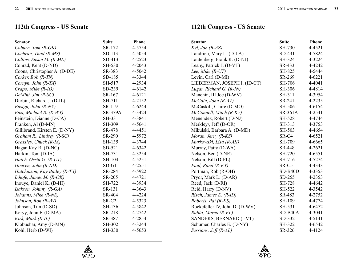## **112th Congress - US Senate**

| <b>Senator</b>                | <b>Suite</b>      | Phone      |
|-------------------------------|-------------------|------------|
| Coburn, Tom (R-OK)            | SR-172            | 4-5754     |
| Cochran, Thad (R-MS)          | $SD-113$          | 4-5054     |
| Collins, Susan M. (R-ME)      | SD-413            | 4-2523     |
| Conrad, Kent (D-ND)           | SH-530            | 4-2043     |
| Coons, Christopher A. (D-DE)  | SR-383            | 4-5042     |
| Corker, Bob (R-TN)            | SD-185            | 4-3344     |
| Cornyn, John (R-TX)           | SH-517            | 4-2934     |
| Crapo, Mike (R-ID)            | SD-239            | 4-6142     |
| DeMint, Jim (R-SC)            | SR-167            | 4-6121     |
| Durbin, Richard J. (D-IL)     | SH-711            | 4-2152     |
| Ensign, John (R-NV)           | SR-119            | 4-6244     |
| Enzi, Michael B. (R-WY)       | <b>SR-379A</b>    | 4-3424     |
| Feinstein, Dianne (D-CA)      | SH-331            | 4-3841     |
| Franken, Al (D-MN)            | SH-309            | 4-5641     |
| Gillibrand, Kirsten E. (D-NY) | SR-478            | 4-4451     |
| Graham R., Lindsey (R-SC)     | <b>SR-290</b>     | 4-5972     |
| Grassley, Chuck (R-IA)        | SH-135            | 4-3744     |
| Hagan Kay R. (D-NC)           | $SD-521$          | 4-6342     |
| Harkin, Tom (D-IA)            | SH-731            | 4-3254     |
| Hatch, Orrin G. (R-UT)        | SH-104            | 4-5251     |
| Hoeven, John (R-ND)           | $SD-G11$          | $4 - 2551$ |
| Hutchinson, Kay Bailey (R-TX) | SR-284            | 4-5922     |
| Inhofe, James M. (R-OK)       | SR-205            | 4-4721     |
| Inouye, Daniel K. (D-HI)      | SH-722            | 4-3934     |
| Isakson, Johnny (R-GA)        | SR-131            | 4-3643     |
| Johanns, Mike (R-NE)          | SR-404            | 4-4224     |
| Johnson, Ron (R-WI)           | SR-C <sub>2</sub> | 4-5323     |
| Johnson, Tim (D-SD)           | SH-136            | 4-5842     |
| Keryy, John F. (D-MA)         | SR-218            | 4-2742     |
| Kirk, Mark (R-IL)             | SR-387            | 4-2854     |
| Klobuchar, Amy (D-MN)         | SH-302            | 4-3244     |
| Kohl, Herb (D-WI)             | SH-330            | 4-5653     |

## **112th Congress - US Senate**

| <b>Senator</b>                    | <b>Suite</b> | Phone      |
|-----------------------------------|--------------|------------|
| Kyl, Jon (R-AZ)                   | SH-730       | 4-4521     |
| Landrieu, Mary L. (D-LA)          | SD-431       | 4-5824     |
| Lautenberg, Frank R. (D-NJ)       | SH-324       | 4-3224     |
| Leahy, Patrick J. (D-VT)          | SR-433       | 4-4242     |
| Lee, Mike $(R-UT)$                | SH-825       | 4-5444     |
| Levin, Carl (D-MI)                | SR-269       | $4 - 6221$ |
| LIEBERMAN, JOSEPH I. (ID-CT)      | SH-706       | 4-4041     |
| Lugar, Richard G. (R-IN)          | SH-306       | 4-4814     |
| Manchin, III Joe (D-WV)           | SH-311       | 4-3954     |
| McCain, John (R-AZ)               | SR-241       | 4-2235     |
| McCaskill, Claire (D-MO)          | SH-506       | 4-6154     |
| McConnell, Mitch (R-KY)           | SR-361A      | 4-2541     |
| Menendez, Robert (D-NJ)           | SH-528       | 4-4744     |
| Merkley $\setminus$ , Jeff (D-OR) | SH-313       | 4-3753     |
| Mikulski, Barbara A. (D-MD)       | SH-503       | 4-4654     |
| Moran, Jerry (R-KS)               | SR-C4        | 4-6521     |
| Murkowski, Lisa (R-AK)            | SH-709       | 4-6665     |
| Murray, Patty (D-WA)              | SR-448       | 4-2621     |
| Nelson, Ben (D-NE)                | SH-720       | 4-6551     |
| Nelson, Bill (D-FL)               | SH-716       | 4-5274     |
| Paul, Rand (R-KY)                 | SR-C5        | 4-4343     |
| Portman, Rob (R-OH)               | $SD-B40D$    | 4-3353     |
| Pryor, Mark L. (D-AR)             | SD-255       | 4-2353     |
| Reed, Jack (D-RI)                 | SH-728       | 4-4642     |
| Reid, Harry (D-NV)                | SH-522       | 4-3542     |
| Risch, James E. (R-ID)            | SR-483       | 4-2752     |
| Roberts, Pat (R-KS)               | SH-109       | 4-4774     |
| Rockefeller IV, John D. (D-WV)    | SH-531       | 4-6472     |
| Rubio, Marco (R-FL)               | $SD-B40A$    | 4-3041     |
| SANDERS, BERNARD (I-VT)           | SD-332       | 4-5141     |
| Schumer, Charles E. (D-NY)        | SH-322       | 4-6542     |
| Sessions, Jeff (R-AL)             | SR-326       | 4-4124     |



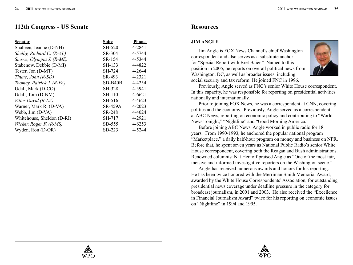## **112th Congress - US Senate**

| <b>Senator</b>              | <b>Suite</b>   | <b>Phone</b> |
|-----------------------------|----------------|--------------|
| Shaheen, Jeanne (D-NH)      | <b>SH-520</b>  | 4-2841       |
| Shelby, Richard C. $(R-AL)$ | SR-304         | 4-5744       |
| Snowe, Olympia J. (R-ME)    | SR-154         | 4-5344       |
| Stabenow, Debbie (D-MI)     | SH-133         | 4-4822       |
| Tester, Jon (D-MT)          | SH-724         | 4-2644       |
| Thune, John $(R$ -SD $)$    | SR-493         | 4-2321       |
| Toomey, Patrick J. (R-PA)   | $SD-B40B$      | 4-4254       |
| Udall, Mark (D-CO)          | <b>SH-328</b>  | 4-5941       |
| Udall, Tom (D-NM)           | <b>SH-110</b>  | 4-6621       |
| Vitter David (R-LA)         | SH-516         | 4-4623       |
| Warner, Mark R. (D-VA)      | <b>SR-459A</b> | 4-2023       |
| Webb, Jim (D-VA)            | SR-248         | 4-4024       |
| Whitehouse, Sheldon (D-RI)  | SH-717         | 4-2921       |
| Wicker, Roger F. (R-MS)     | $SD-555$       | 4-6253       |
| Wyden, Ron (D-OR)           | SD-223         | 4-5244       |

## **Resources**

#### **JIM ANGLE**

Jim Angle is FOX News Channel's chief Washington correspondent and also serves as a substitute anchor for "Special Report with Bret Baier." Named to this position in 2005, he reports on overall political news from Washington, DC, as well as broader issues, including social security and tax reform. He joined FNC in 1996.



Previously, Angle served as FNC's senior White House correspondent. In this capacity, he was responsible for reporting on presidential activities nationally and internationally.

Prior to joining FOX News, he was a correspondent at CNN, covering politics and the economy. Previously, Angle served as a correspondent at ABC News, reporting on economic policy and contributing to "World News Tonight," "Nightline" and "Good Morning America."

Before joining ABC News, Angle worked in public radio for 18 years. From 1990-1993, he anchored the popular national program "Marketplace," a daily half-hour program on money and business on NPR. Before that, he spent seven years as National Public Radio's senior White House correspondent, covering both the Reagan and Bush administrations. Renowned columnist Nat Hentoff praised Angle as "One of the most fair, incisive and informed investigative reporters on the Washington scene."

Angle has received numerous awards and honors for his reporting. He has been twice honored with the Merriman Smith Memorial Award, awarded by the White House Correspondents' Association, for outstanding presidential news coverage under deadline pressure in the category for broadcast journalism, in 2001 and 2003. He also received the "Excellence in Financial Journalism Award" twice for his reporting on economic issues on "Nightline" in 1994 and 1995.

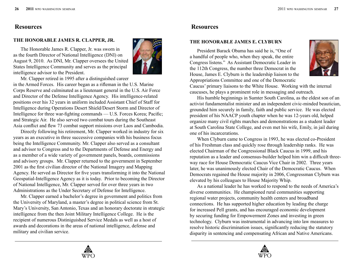#### **THE HONORABLE JAMES R. CLAPPER, JR.**

The Honorable James R. Clapper, Jr. was sworn in as the fourth Director of National Intelligence (DNI) on August 9, 2010. As DNI, Mr. Clapper oversees the United States Intelligence Community and serves as the principal intelligence advisor to the President.



Mr. Clapper retired in 1995 after a distinguished career in the Armed Forces. His career began as a rifleman in the U.S. Marine Corps Reserve and culminated as a lieutenant general in the U.S. Air Force and Director of the Defense Intelligence Agency. His intelligence-related positions over his 32 years in uniform included Assistant Chief of Staff for Intelligence during Operations Desert Shield/Desert Storm and Director of Intelligence for three war-fighting commands — U.S. Forces Korea; Pacific; and Strategic Air. He also served two combat tours during the Southeast Asia conflict and flew 73 combat support missions over Laos and Cambodia.

Directly following his retirement, Mr. Clapper worked in industry for six years as an executive in three successive companies with his business focus being the Intelligence Community. Mr. Clapper also served as a consultant and advisor to Congress and to the Departments of Defense and Energy and as a member of a wide variety of government panels, boards, commissions and advisory groups. Mr. Clapper returned to the government in September 2001 as the first civilian director of the National Imagery and Mapping Agency. He served as Director for five years transforming it into the National Geospatial-Intelligence Agency as it is today. Prior to becoming the Director of National Intelligence, Mr. Clapper served for over three years in two Administrations as the Under Secretary of Defense for Intelligence.

Mr. Clapper earned a bachelor's degree in government and politics from the University of Maryland, a master's degree in political science from St. Mary's University, San Antonio, Texas and an honorary doctorate in strategic intelligence from the then Joint Military Intelligence College. He is the recipient of numerous Distiniguished Service Medals as well as a host of awards and decorations in the areas of national intelligence, defense and military and civilian service.

## **Resources**

#### **THE HONORABLE JAMES E. CLYBURN**

President Barack Obama has said he is, "One of a handful of people who, when they speak, the entire Congress listens." As Assistant Democratic Leader in the 112th Congress, the number three Democrat in the House, James E. Clyburn is the leadership liaison to the Appropriations Committee and one of the Democratic



Caucus' primary liaisons to the White House. Working with the internal caucuses, he plays a prominent role in messaging and outreach.

His humble beginnings in Sumter South Carolina, as the eldest son of an activist fundamentalist minister and an independent civic-minded beautician, grounded him securely in family, faith and public service. He was elected president of his NAACP youth chapter when he was 12-years old, helped organize many civil rights marches and demonstrations as a student leader at South Carolina State College, and even met his wife, Emily, in jail during one of his incarcerations.

When Clyburn came to Congress in 1993, he was elected co-President of his Freshman class and quickly rose through leadership ranks. He was elected Chairman of the Congressional Black Caucus in 1999, and his reputation as a leader and consensus-builder helped him win a difficult threeway race for House Democratic Caucus Vice Chair in 2002. Three years later, he was unanimously elected Chair of the Democratic Caucus. When Democrats regained the House majority in 2006, Congressman Clyburn was elevated by his colleagues to House Majority Whip.

As a national leader he has worked to respond to the needs of America's diverse communities. He championed rural communities supporting regional water projects, community health centers and broadband connections. He has supported higher education by leading the charge for increased Pell grants, and has encouraged economic development by securing funding for Empowerment Zones and investing in green technology. Clyburn was instrumental in advancing into law measures to resolve historic discrimination issues, significantly reducing the statutory disparity in sentencing and compensating African and Native Americans.



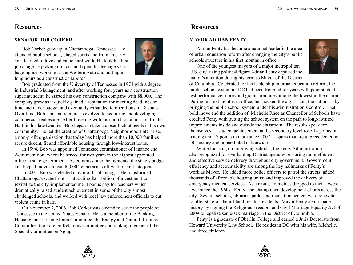#### **SENATOR BOB CORKER**

Bob Corker grew up in Chattanooga, Tennessee. He attended public schools, played sports and from an early age, learned to love and value hard work. He took his first job at age 13 picking up trash and spent his teenage years bagging ice, working at the Western Auto and putting in long hours as a construction laborer.



Bob graduated from the University of Tennessee in 1974 with a degree in Industrial Management, and after working four years as a construction superintendent, he started his own construction company with \$8,000. The company grew as it quickly gained a reputation for meeting deadlines on time and under budget and eventually expanded to operations in 18 states. Over time, Bob's business interests evolved to acquiring and developing commercial real estate. After traveling with his church on a mission trip to Haiti in his late twenties, Bob began to take a closer look at needs in his own community. He led the creation of Chattanooga Neighborhood Enterprise, a non-profit organization that today has helped more than 10,000 families secure decent, fit and affordable housing through low-interest loans.

In 1994, Bob was appointed Tennessee commissioner of Finance and Administration, where he served for two years in the highest appointed office in state government. As commissioner, he tightened the state's budget and helped move almost 40,000 Tennesseans off welfare and into jobs.

In 2001, Bob was elected mayor of Chattanooga. He transformed Chattanooga's waterfront — attracting \$2.1 billion of investment to revitalize the city, implemented merit bonus pay for teachers which dramatically raised student achievement in some of the city's most challenged schools, and worked with local law enforcement officials to cut violent crime in half.

On November 7, 2006, Bob Corker was elected to serve the people of Tennessee in the United States Senate. He is a member of the Banking, Housing, and Urban Affairs Committee, the Energy and Natural Resources Committee, the Foreign Relations Committee and ranking member of the Special Committee on Aging.

## **Resources**

#### **MAYOR ADRIAN FENTY**

Adrian Fenty has become a national leader in the area of urban education reform after changing the city's public schools structure in his first months in office.

One of the youngest mayors of a major metropolitan U.S. city, rising political figure Adrian Fenty captured the nation's attention during his term as Mayor of the District



of Columbia. Celebrated for his leadership in urban education reform, the public school system in DC had been troubled for years with poor student test performance scores and graduation rates among the lowest in the nation. During his first months in office, he shocked the city — and the nation — by bringing the public school system under his administration's control. That bold move and the addition of Michelle Rhee as Chancellor of Schools have credited Fenty with putting the school system on the path to long-awaited improvements inside and outside the classroom. The results speak for themselves — student achievement at the secondary level rose 14 points in reading and 17 points in math since 2007 — gains that are unprecedented in DC history and unparalleled nationwide.

While focusing on improving schools, the Fenty Administration is also recognized for overhauling District agencies, ensuring more efficient and effective service delivery throughout city government. Government efficiency and accountability are among the key hallmarks of Fenty's work as Mayor. He added more police officers to patrol the streets; added thousands of affordable housing units; and improved the delivery of emergency medical services. As a result, homicides dropped to their lowest level since the 1960s. Fenty also championed development efforts across the city. Several schools, libraries, parks and recreation centers were renovated to offer state-of-the-art facilities for residents. Mayor Fenty again made history by signing the Religious Freedom and Civil Marriage Equality Act of 2009 to legalize same-sex marriage in the District of Columbia.

Fenty is a graduate of Oberlin College and earned a Juris Doctorate from Howard University Law School. He resides in DC with his wife, Michelle, and three children.



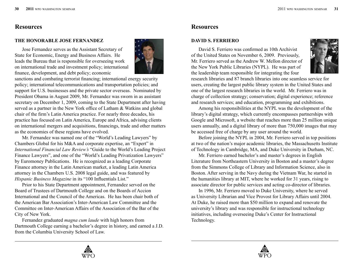#### **THE HONORABLE JOSE FERNANDEZ**

Jose Fernandez serves as the Assistant Secretary of State for Economic, Energy and Business Affairs. He leads the Bureau that is responsible for overseeing work on international trade and investment policy; international finance, development, and debt policy; economic



sanctions and combating terrorist financing; international energy security policy; international telecommunications and transportation policies; and support for U.S. businesses and the private sector overseas. Nominated by President Obama in August 2009, Mr. Fernandez was sworn in as assistant secretary on December 1, 2009, coming to the State Department after having served as a partner in the New York office of Latham & Watkins and global chair of the firm's Latin America practice. For nearly three decades, his practice has focused on Latin America, Europe and Africa, advising clients on international mergers and acquisitions, financings, trade and other matters as the economies of these regions have evolved.

Mr. Fernandez was named one of the "World's Leading Lawyers" by Chambers Global for his M&A and corporate expertise, an "Expert" in *International Financial Law Review's* "Guide to the World's Leading Project Finance Lawyers", and one of the "World's Leading Privatization Lawyers" by Euromoney Publications. He is recognized as a leading Corporate Finance attorney in the Latin American market, a leading Latin America attorney in the Chambers U.S. 2008 legal guide, and was featured by *Hispanic Business Magazine* in its "100 Influentials List."

Prior to his State Department appointment, Fernandez served on the Board of Trustees of Dartmouth College and on the Boards of Accion International and the Council of the Americas. He has been chair both of the American Bar Association's Inter-American Law Committee and the Committee on Inter-American Affairs of the Association of the Bar of the City of New York.

Fernandez graduated *magna cum laude* with high honors from Dartmouth College earning a bachelor's degree in history, and earned a J.D. from the Columbia University School of Law.

### **Resources**

#### **DAVID S. FERRIERO**

David S. Ferriero was confirmed as 10th Archivist of the United States on November 6, 2009. Previously, Mr. Ferriero served as the Andrew W. Mellon director of the New York Public Libraries (NYPL). He was part of the leadership team responsible for integrating the four



research libraries and 87 branch libraries into one seamless service for users, creating the largest public library system in the United States and one of the largest research libraries in the world. Mr. Ferriero was in charge of collection strategy; conservation; digital experience; reference and research services; and education, programming and exhibitions.

Among his responsibilities at the NYPL was the development of the library's digital strategy, which currently encompasses partnerships with Google and Microsoft, a website that reaches more than 25 million unique users annually, and a digital library of more than 750,000 images that may be accessed free of charge by any user around the world.

Before joining the NYPL in 2004, Mr. Ferriero served in top positions at two of the nation's major academic libraries, the Massachusetts Institute of Technology in Cambridge, MA, and Duke University in Durham, NC.

Mr. Ferriero earned bachelor's and master's degrees in English Literature from Northeastern University in Boston and a master's degree from the Simmons College of Library and Information Science, also in Boston. After serving in the Navy during the Vietnam War, he started in the humanities library at MIT, where he worked for 31 years, rising to associate director for public services and acting co-director of libraries.

In 1996, Mr. Ferriero moved to Duke University, where he served as University Librarian and Vice Provost for Library Affairs until 2004. At Duke, he raised more than \$50 million to expand and renovate the university's library and was responsible for instructional technology initiatives, including overseeing Duke's Center for Instructional Technology.



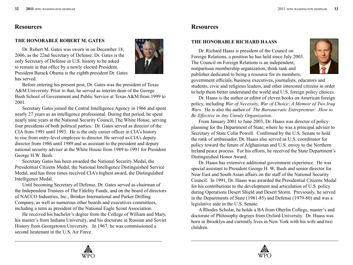#### **THE HONORABLE ROBERT M. GATES**

Dr. Robert M. Gates was sworn in on December 18, 2006, as the 22nd Secretary of Defense. Dr. Gates is the only Secretary of Defense in U.S. history to be asked to remain in that office by a newly elected President. President Barack Obama is the eighth president Dr. Gates has served.



Before entering his present post, Dr. Gates was the president of Texas A&M University. Prior to that, he served as interim dean of the George Bush School of Government and Public Service at Texas A&M from 1999 to 2001.

Secretary Gates joined the Central Intelligence Agency in 1966 and spent nearly 27 years as an intelligence professional. During that period, he spent nearly nine years at the National Security Council, The White House, serving four presidents of both political parties. Dr. Gates served as director of the CIA from 1991 until 1993. He is the only career officer in CIA's history to rise from entry-level employee to director. He served as CIA's deputy director from 1986 until 1989 and as assistant to the president and deputy national security adviser at the White House from 1989 to 1991 for President George H.W. Bush.

Secretary Gates has been awarded the National Security Medal, the Presidential Citizens Medal, the National Intelligence Distinguished Service Medal, and has three times received CIA's highest award, the Distinguished Intelligence Medal.

Until becoming Secretary of Defense, Dr. Gates served as chairman of the Independent Trustees of The Fidelity Funds, and on the board of directors of NACCO Industries, Inc., Brinker International and Parker Drilling Company, as well as numerous other boards and executives committees, including a term as president of the National Eagle Scout Association.

He received his bachelor's degree from the College of William and Mary, his master's from Indiana University, and his doctorate in Russian and Soviet History from Georgetown University. In 1967, he was commissioned a second lieutenant in the U.S. Air Force.

## **Resources**

#### **THE HONORABLE RICHARD HAASS**

Dr. Richard Haass is president of the Council on Foreign Relations, a position he has held since July 2003. The Council on Foreign Relations is an independent, nonpartisan membership organization, think tank and publisher dedicated to being a resource for its members,



government officials, business executives, journalists, educators and students, civic and religious leaders, and other interested citizens in order to help them better understand the world and U.S. foreign policy choices.

Dr. Haass is the author or editor of eleven books on American foreign policy, including *War of Necessity, War of Choice: A Memoir of Two Iraq Wars*. He is also the author of *The Bureaucratic Entrepreneur: How to Be Effective in Any Unruly Organization*.

From January 2001 to June 2003, Dr. Haass was director of policy planning for the Department of State, where he was a principal adviser to Secretary of State Colin Powell. Confirmed by the U.S. Senate to hold the rank of ambassador, Dr. Haass also served as U.S. coordinator for policy toward the future of Afghanistan and U.S. envoy to the Northern Ireland peace process. For his efforts, he received the State Department's Distinguished Honor Award.

Dr. Haass has extensive additional government experience. He was special assistant to President George H. W. Bush and senior director for Near East and South Asian affairs on the staff of the National Security Council. In 1991, Dr. Haass was awarded the Presidential Citizens Medal for his contributions to the development and articulation of U.S. policy during Operations Desert Shield and Desert Storm. Previously, he served in the Departments of State (1981-85) and Defense (1979-80) and was a legislative aide in the U.S. Senate.

A Rhodes Scholar, he holds a BA from Oberlin College, master's and doctorate of Philosophy degrees from Oxford University. Dr. Haass was born in Brooklyn and currently lives in New York with his wife and two children.



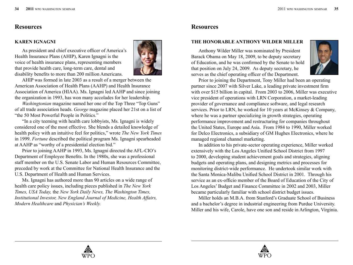#### **KAREN IGNAGNI**

As president and chief executive officer of America's Health Insurance Plans (AHIP), Karen Ignagni is the voice of health insurance plans, representing members that provide health care, long-term care, dental and disability benefits to more than 200 million Americans.



AHIP was formed in late 2003 as a result of a merger between the American Association of Health Plans (AAHP) and Health Insurance Association of America (HIAA). Ms. Ignagni led AAHP and since joining the organization in 1993, has won many accolades for her leadership.

*Washingtonian* magazine named her one of the Top Three "Top Guns" of all trade association heads. *George* magazine placed her 21st on a list of "the 50 Most Powerful People in Politics."

"In a city teeming with health care lobbyists, Ms. Ignagni is widely considered one of the most effective. She blends a detailed knowledge of health policy with an intuitive feel for politics," wrote *The New York Times* in 1999. *Fortune* described the political program Ms. Ignagni spearheaded at AAHP as "worthy of a presidential election bid."

Prior to joining AAHP in 1993, Ms. Ignagni directed the AFL-CIO's Department of Employee Benefits. In the 1980s, she was a professional staff member on the U.S. Senate Labor and Human Resources Committee, preceded by work at the Committee for National Health Insurance and the U.S. Department of Health and Human Services.

Ms. Ignagni has authored more than 90 articles on a wide range of health care policy issues, including pieces published in *The New York Times, USA Today,* the *New York Daily News, The Washington Times, Institutional Investor, New England Journal of Medicine, Health Affairs, Modern Healthcare* and *Physician's Weekly.*

## **Resources**

#### **THE HONORABLE ANTHONY WILDER MILLER**

Anthony Wilder Miller was nominated by President Barack Obama on May 18, 2009, to be deputy secretary of Education, and he was confirmed by the Senate to hold that position on July 24, 2009. As deputy secretary, he serves as the chief operating officer of the Department.



Prior to joining the Department, Tony Miller had been an operating partner since 2007 with Silver Lake, a leading private investment firm with over \$15 billion in capital. From 2003 to 2006, Miller was executive vice president of operations with LRN Corporation, a market-leading provider of governance and compliance software, and legal research services. Prior to LRN, he worked for 10 years at McKinsey & Company, where he was a partner specializing in growth strategies, operating performance improvement and restructuring for companies throughout the United States, Europe and Asia. From 1984 to 1990, Miller worked for Delco Electronics, a subsidiary of GM Hughes Electronics, where he managed regional channel marketing.

In addition to his private-sector operating experience, Miller worked extensively with the Los Angeles Unified School District from 1997 to 2000, developing student achievement goals and strategies, aligning budgets and operating plans, and designing metrics and processes for monitoring district-wide performance. He undertook similar work with the Santa Monica-Malibu Unified School District in 2001. Through his service as an ex-officio member of the Board of Education of the City of Los Angeles' Budget and Finance Committee in 2002 and 2003, Miller became particularly familiar with school district budget issues.

Miller holds an M.B.A. from Stanford's Graduate School of Business and a bachelor's degree in industrial engineering from Purdue University. Miller and his wife, Carole, have one son and reside in Arlington, Virginia.



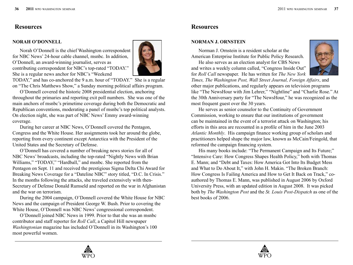## **Resources Resources**

#### **NORAH O'DONNELL**

Norah O'Donnell is the chief Washington correspondent for NBC News' 24-hour cable channel, msnbc. In addition, O'Donnell, an award-winning journalist, serves as contributing correspondent for NBC's top-rated "TODAY." She is a regular news anchor for NBC's "Weekend



TODAY," and has co-anchored the 9 a.m. hour of "TODAY." She is a regular on "The Chris Matthews Show," a Sunday morning political affairs program.

O'Donnell covered the historic 2008 presidential election, anchoring throughout the primaries and reporting exit poll numbers. She was one of the main anchors of msnbc's primetime coverage during both the Democratic and Republican conventions, moderating a panel of msnbc's top political analysts. On election night, she was part of NBC News' Emmy award-winning coverage.

During her career at NBC News, O'Donnell covered the Pentagon, Congress and the White House. Her assignments took her around the globe, reporting from every continent except Antarctica with the President of the United States and the Secretary of Defense.

O'Donnell has covered a number of breaking news stories for all of NBC News' broadcasts, including the top-rated "Nightly News with Brian Williams," "TODAY," "Hardball," and msnbc. She reported from the Pentagon on Sept. 11 and received the prestigious Sigma Delta Chi Award for Breaking News Coverage for a "Dateline NBC" story titled, "D.C. In Crisis." In the months following the attacks, she traveled extensively with then-Secretary of Defense Donald Rumseld and reported on the war in Afghanistan and the war on terrorism.

During the 2004 campaign, O'Donnell covered the White House for NBC News and the campaign of President George W. Bush. Prior to covering the White House, O'Donnell was NBC News' congressional correspondent.

O'Donnell joined NBC News in 1999. Prior to that she was an msnbc contributor and staff reporter for *Roll Call*, a Capitol Hill newspaper *Washingtonian* magazine has included O'Donnell in its Washington's 100 most powerful women.

#### **NORMAN J. ORNSTEIN**

Norman J. Ornstein is a resident scholar at the American Enterprise Institute for Public Policy Research.

He also serves as an election analyst for CBS News and writes a weekly column called, "Congress Inside Out" for *Roll Call* newspaper. He has written for *The New York* 



*Times, The Washington Post, Wall Street Journal, Foreign Affairs*, and other major publications, and regularly appears on television programs like "The NewsHour with Jim Lehrer," "Nightline" and "Charlie Rose." At the 30th Anniversary party for "The NewsHour," he was recognized as the most frequent guest over the 30 years.

He serves as senior counselor to the Continuity of Government Commission, working to ensure that our institutions of government can be maintained in the event of a terrorist attack on Washington; his efforts in this area are recounted in a profile of him in the June 2003 *Atlantic Monthly*. His campaign finance working group of scholars and practitioners helped shape the major law, known as McCain/Feingold, that reformed the campaign financing system.

His many books include: "The Permanent Campaign and Its Future;" "Intensive Care: How Congress Shapes Health Policy," both with Thomas E. Mann; and "Debt and Taxes: How America Got Into Its Budget Mess and What to Do About It," with John H. Makin. "The Broken Branch: How Congress Is Failing America and How to Get It Back on Track," coauthored by Thomas E. Mann, was published in August 2006 by Oxford University Press, with an updated edition in August 2008. It was picked both by *The Washington Post* and the *St. Louis Post-Dispatch* as one of the best books of 2006.



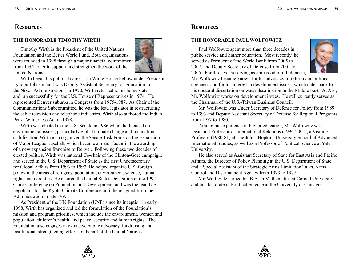#### **THE HONORABLE TIMOTHY WIRTH**

Timothy Wirth is the President of the United Nations Foundation and the Better World Fund. Both organizations were founded in 1998 through a major financial commitment from Ted Turner to support and strengthen the work of the United Nations.



Wirth began his political career as a White House Fellow under President Lyndon Johnson and was Deputy Assistant Secretary for Education in the Nixon Administration. In 1970, Wirth returned to his home state and ran successfully for the U.S. House of Representatives in 1974. He represented Denver suburbs in Congress from 1975-1987. As Chair of the Communications Subcommittee, he was the lead legislator in restructuring the cable television and telephone industries. Wirth also authored the Indian Peaks Wilderness Act of 1978.

Wirth was elected to the U.S. Senate in 1986 where he focused on environmental issues, particularly global climate change and population stabilization. Wirth also organized the Senate Task Force on the Expansion of Major League Baseball, which became a major factor in the awarding of a new expansion franchise to Denver. Following these two decades of elected politics, Wirth was national Co-chair of the Clinton-Gore campaign, and served in the U.S. Department of State as the first Undersecretary for Global Affairs from 1993 to 1997. He helped organize U.S. foreign policy in the areas of refugees, population, environment, science, human rights and narcotics. He chaired the United States Delegation at the 1994 Cairo Conference on Population and Development, and was the lead U.S. negotiator for the Kyoto Climate Conference until he resigned from the Administration in late 199.

As President of the UN Foundation (UNF) since its inception in early 1998, Wirth has organized and led the formulation of the Foundation's mission and program priorities, which include the environment, women and population, children's health, and peace, security and human rights. The Foundation also engages in extensive public advocacy, fundraising and institutional strengthening efforts on behalf of the United Nations.

## **Resources**

#### **THE HONORABLE PAUL WOLFOWITZ**

Paul Wolfowitz spent more than three decades in public service and higher education. Most recently, he served as President of the World Bank from 2005 to 2007, and Deputy Secretary of Defense from 2001 to 2005. For three years serving as ambassador to Indonesia,



Mr. Wolfowitz became known for his advocacy of reform and political openness and for his interest in development issues, which dates back to his doctoral dissertation on water desalination in the Middle East. At AEI, Mr. Wolfowitz works on development issues. He still currently serves as the Chairman of the U.S.-Taiwan Business Council.

Mr. Wolfowitz was Under Secretary of Defense for Policy from 1989 to 1993 and Deputy Assistant Secretary of Defense for Regional Programs from 1977 to 1980.

Among his experience in higher education, Mr. Wolfowitz was Dean and Professor of International Relations (1994-2001), a Visiting Professor (1980-81) at The Johns Hopkins University School of Advanced International Studies, as well as a Professor of Political Science at Yale University.

He also served as Assistant Secretary of State for East Asia and Pacific Affairs, the Director of Policy Planning at the U.S. Department of State and a Special Assistant of the Strategic Arms Limitation Talks, Arms Control and Disarmament Agency from 1973 to 1977.

Mr. Wolfowitz earned his B.A. in Mathematics at Cornell University and his doctorate in Political Science at the University of Chicago.



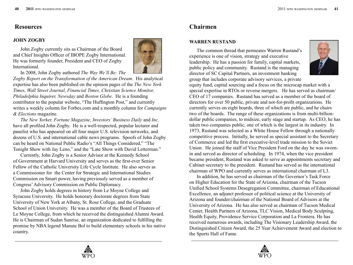## **Resources Chairmen**

#### **JOHN ZOGBY**

John Zogby currently sits as Chairman of the Board and Chief Insights Officer of IBOPE Zogby International. He was formerly founder, President and CEO of Zogby International.



In 2008, John Zogby authored *The Way We'll Be: The* 

*Zogby Report on the Transformation of the American Dream*. His analytical expertise has also been published on the opinion pages of the *The New York Times, Wall Street Journal, Financial Times, Christian Science Monitor, Philadelphia Inquirer, Newsday* and *Boston Globe*. He is a founding contributor to the popular website, "The Huffington Post," and currently writes a weekly column for Forbes.com and a monthly column for *Campaigns & Elections* magazine.

*The New Yorker, Fortune Magazine, Investors' Business Daily* and *Inc*. have all profiled John Zogby. He is a well-respected, popular lecturer and panelist who has appeared on all four major U.S. television networks, and dozens of U.S. and international cable news programs. Spoofs of John Zogby can be heard on National Public Radio's "All Things Considered," "The Tonight Show with Jay Leno," and the "Late Show with David Letterman."

Currently, John Zogby is a Senior Advisor at the Kennedy School of Government at Harvard University and serves as the first-ever Senior Fellow of the Catholic University Life Cycle Institute. He also serves as a Commissioner for the Center for Strategic and International Studies Commission on Smart power, having previously served as a member of Congress' Advisory Commission on Public Diplomacy.

John Zogby holds degrees in history from Le Moyne College and Syracuse University. He holds honorary doctorate degrees from State University of New York at Albany, St. Rose College, and the Graduate School of Union University. He was a member of the Board of Trustees of Le Moyne College, from which he received the distinguished Alumni Award. He is Chairman of Sudan Sunrise, an organization dedicated to fulfilling the promise by NBA legend Manute Bol to build elementary schools in his native country.

#### **WARREN RUSTAND**

The common thread that permeates Warren Rustand's experience is one of vision, strategy and executive leadership. He has a passion for family, capital markets, public policy and community. Rustand is the managing director of SC Capital Partners, an investment banking group that includes corporate advisory services, a private



equity fund, capital sourcing and a focus on the microcap market with a special expertise in RTOs or reverse mergers. He has served as chairman/ CEO of 17 companies. Rustand has served as a member of the board of directors for over 50 public, private and not-for-profit organizations. He currently serves on eight boards, three of which are public, and he chairs two of the boards. The range of these organizations is from multi-billiondollar public companies, to midsize, early stage and startup. As CEO, he has taken two companies public, one of which is the largest in its industry. In 1973, Rustand was selected as a White House Fellow through a nationally competitive process. Initially, he served as special assistant to the Secretary of Commerce and led the first executive-level trade mission to the Soviet Union. He joined the staff of Vice President Ford on the day he was swornin and served as director of scheduling. In 1974, when the vice president became president, Rustand was asked to serve as appointments secretary and Cabinet secretary to the president. Rustand has served as the international chairman of WPO and currently serves as international chairman of L3.

In addition, he has served as chairman of the Governor's Task Force on Higher Education for the State of Arizona, chairman of the Tucson Unified School Systems Desegregation Committee, chairman of Educational Excellence, an adjunct professor of political science at the University of Arizona and founder/chairman of the National Board of Advisors at the University of Arizona. He has also served as chairman of Tucson Medical Center, Health Partners of Arizona, TLC Vision, Medical Body Sculpting, Health Equity, Providence Service Corporation and La Frontera. He has received numerous awards, including The Visionary Leadership Award, the Distinguished Citizen Award, the 25 Year Achievement Award and election to the Sports Hall of Fame.



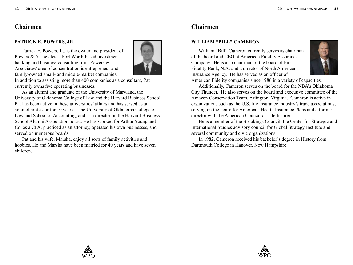## **Chairmen**

#### **PATRICK E. POWERS, JR.**

Patrick E. Powers, Jr., is the owner and president of Powers & Associates, a Fort Worth-based investment banking and business consulting firm. Powers & Associates' area of concentration is entrepreneur and family-owned small- and middle-market companies.



In addition to assisting more than 400 companies as a consultant, Pat currently owns five operating businesses.

As an alumni and graduate of the University of Maryland, the University of Oklahoma College of Law and the Harvard Business School, Pat has been active in these universities' affairs and has served as an adjunct professor for 10 years at the University of Oklahoma College of Law and School of Accounting, and as a director on the Harvard Business School Alumni Association board. He has worked for Arthur Young and Co. as a CPA, practiced as an attorney, operated his own businesses, and served on numerous boards.

Pat and his wife, Marsha, enjoy all sorts of family activities and hobbies. He and Marsha have been married for 40 years and have seven children.

## **Chairmen**

#### **WILLIAM "BILL" CAMERON**

William "Bill" Cameron currently serves as chairman of the board and CEO of American Fidelity Assurance Company. He is also chairman of the board of First Fidelity Bank, N.A. and a director of North American Insurance Agency. He has served as an officer of



American Fidelity companies since 1986 in a variety of capacities.

Additionally, Cameron serves on the board for the NBA's Oklahoma City Thunder. He also serves on the board and executive committee of the Amazon Conservation Team, Arlington, Virginia. Cameron is active in organizations such as the U.S. life insurance industry's trade associations, serving on the board for America's Health Insurance Plans and a former director with the American Council of Life Insurers.

He is a member of the Brookings Council, the Center for Strategic and International Studies advisory council for Global Strategy Institute and several community and civic organizations.

In 1982, Cameron received his bachelor's degree in History from Dartmouth College in Hanover, New Hampshire.



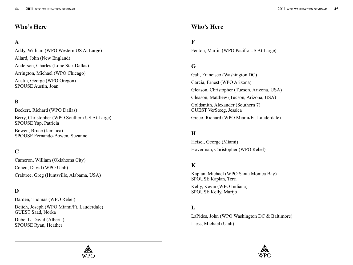## **Who's Here**

## **A**

Addy, William (WPO Western US At Large) Allard, John (New England) Anderson, Charles (Lone Star-Dallas) Arrington, Michael (WPO Chicago) Austin, George (WPO Oregon) SPOUSE Austin, Joan

## **B**

Beckert, Richard (WPO Dallas) Berry, Christopher (WPO Southern US At Large) SPOUSE Yap, Patricia

Bowen, Bruce (Jamaica) SPOUSE Fernando-Bowen, Suzanne

### **C**

Cameron, William (Oklahoma City) Cohen, David (WPO Utah) Crabtree, Greg (Huntsville, Alabama, USA)

#### **D**

Darden, Thomas (WPO Rebel) Deitch, Joseph (WPO Miami/Ft. Lauderdale) GUEST Saad, Norka

Dube, L. David (Alberta) SPOUSE Ryan, Heather

### **Who's Here**

### **F**

Fenton, Martin (WPO Pacific US At Large)

### **G**

Gali, Francisco (Washington DC) Garcia, Ernest (WPO Arizona) Gleason, Christopher (Tucson, Arizona, USA) Gleason, Matthew (Tucson, Arizona, USA) Goldsmith, Alexander (Southern 7) GUEST VerSteeg, Jessica Greco, Richard (WPO Miami/Ft. Lauderdale)

### **H**

Heisel, George (Miami) Hoverman, Christopher (WPO Rebel)

### **K**

Kaplan, Michael (WPO Santa Monica Bay) SPOUSE Kaplan, Terri

Kelly, Kevin (WPO Indiana) SPOUSE Kelly, Marijo

### **L**

LaPides, John (WPO Washington DC & Baltimore) Liess, Michael (Utah)



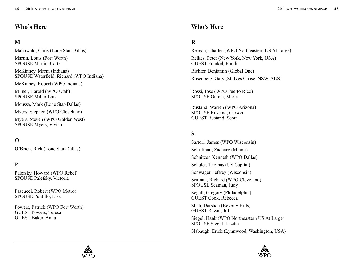## **Who's Here**

## **M**

Mahowald, Chris (Lone Star-Dallas)

Martin, Louis (Fort Worth) SPOUSE Martin, Carter

McKinney, Marni (Indiana) SPOUSE Waterfield, Richard (WPO Indiana)

McKinney, Robert (WPO Indiana)

Milner, Harold (WPO Utah) SPOUSE Miller Lois

Moussa, Mark (Lone Star-Dallas)

Myers, Stephen (WPO Cleveland)

Myers, Steven (WPO Golden West) SPOUSE Myers, Vivian

## **O**

O'Brien, Rick (Lone Star-Dallas)

### **P**

Palefsky, Howard (WPO Rebel) SPOUSE Palefsky, Victoria

Pascucci, Robert (WPO Metro) SPOUSE Puntillo, Lisa

Powers, Patrick (WPO Fort Worth) GUEST Powers, Teresa GUEST Baker, Anna

## **Who's Here**

## **R**

Reagan, Charles (WPO Northeastern US At Large) Reikes, Peter (New York, New York, USA) GUEST Frankel, Randi Richter, Benjamin (Global One) Rosenberg, Gary (St. Ives Chase, NSW, AUS)

Rossi, Jose (WPO Puerto Rico) SPOUSE Garcia, Maria

Rustand, Warren (WPO Arizona) SPOUSE Rustand, Carson GUEST Rustand, Scott

## **S**

Sartori, James (WPO Wisconsin) Schiffman, Zachary (Miami) Schnitzer, Kenneth (WPO Dallas) Schuler, Thomas (US Capital) Schwager, Jeffrey (Wisconsin) Seaman, Richard (WPO Cleveland) SPOUSE Seaman, Judy Segall, Gregory (Philadelphia)

GUEST Cook, Rebecca

Shah, Darshan (Beverly Hills) GUEST Rawal, Jill

Siegel, Hank (WPO Northeastern US At Large) SPOUSE Siegel, Lisette

Slabaugh, Erick (Lynnwood, Washington, USA)



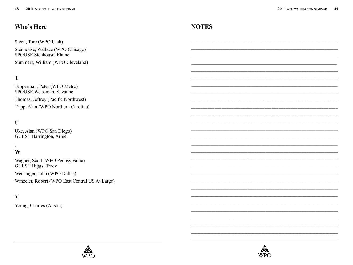## Who's Here

Steen, Tore (WPO Utah) Stenhouse, Wallace (WPO Chicago) SPOUSE Stenhouse, Elaine Summers, William (WPO Cleveland)

## T

Tepperman, Peter (WPO Metro) SPOUSE Weissman, Suzanne Thomas, Jeffrey (Pacific Northwest) Tripp, Alan (WPO Northern Carolina)

## $\mathbf{U}$

Uke, Alan (WPO San Diego) **GUEST Harrington, Arnie** 

#### $\setminus$ W

Wagner, Scott (WPO Pennsylvania) GUEST Higgs, Tracy Wensinger, John (WPO Dallas) Winzeler, Robert (WPO East Central US At Large)

#### Y

Young, Charles (Austin)



## **NOTES**

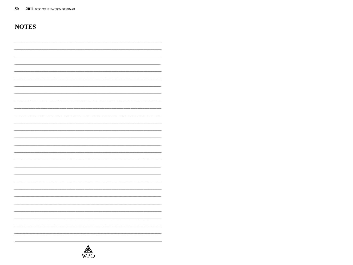## **NOTES**